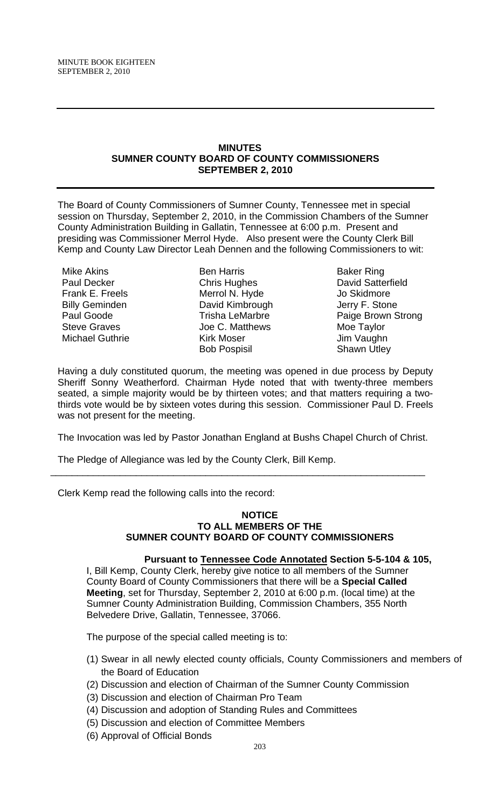#### **MINUTES SUMNER COUNTY BOARD OF COUNTY COMMISSIONERS SEPTEMBER 2, 2010**

The Board of County Commissioners of Sumner County, Tennessee met in special session on Thursday, September 2, 2010, in the Commission Chambers of the Sumner County Administration Building in Gallatin, Tennessee at 6:00 p.m. Present and presiding was Commissioner Merrol Hyde. Also present were the County Clerk Bill Kemp and County Law Director Leah Dennen and the following Commissioners to wit:

Mike Akins Paul Decker Frank E. Freels Billy Geminden Paul Goode Steve Graves Michael Guthrie

Ben Harris Chris Hughes Merrol N. Hyde David Kimbrough Trisha LeMarbre Joe C. Matthews Kirk Moser Bob Pospisil

Baker Ring David Satterfield Jo Skidmore Jerry F. Stone Paige Brown Strong Moe Taylor Jim Vaughn Shawn Utley

Having a duly constituted quorum, the meeting was opened in due process by Deputy Sheriff Sonny Weatherford. Chairman Hyde noted that with twenty-three members seated, a simple majority would be by thirteen votes; and that matters requiring a twothirds vote would be by sixteen votes during this session. Commissioner Paul D. Freels was not present for the meeting.

The Invocation was led by Pastor Jonathan England at Bushs Chapel Church of Christ.

\_\_\_\_\_\_\_\_\_\_\_\_\_\_\_\_\_\_\_\_\_\_\_\_\_\_\_\_\_\_\_\_\_\_\_\_\_\_\_\_\_\_\_\_\_\_\_\_\_\_\_\_\_\_\_\_\_\_\_\_\_\_\_\_\_\_\_\_\_\_

The Pledge of Allegiance was led by the County Clerk, Bill Kemp.

Clerk Kemp read the following calls into the record:

#### **NOTICE TO ALL MEMBERS OF THE SUMNER COUNTY BOARD OF COUNTY COMMISSIONERS**

## **Pursuant to Tennessee Code Annotated Section 5-5-104 & 105,**

I, Bill Kemp, County Clerk, hereby give notice to all members of the Sumner County Board of County Commissioners that there will be a **Special Called Meeting**, set for Thursday, September 2, 2010 at 6:00 p.m. (local time) at the Sumner County Administration Building, Commission Chambers, 355 North Belvedere Drive, Gallatin, Tennessee, 37066.

The purpose of the special called meeting is to:

- (1) Swear in all newly elected county officials, County Commissioners and members of the Board of Education
- (2) Discussion and election of Chairman of the Sumner County Commission
- (3) Discussion and election of Chairman Pro Team
- (4) Discussion and adoption of Standing Rules and Committees
- (5) Discussion and election of Committee Members
- (6) Approval of Official Bonds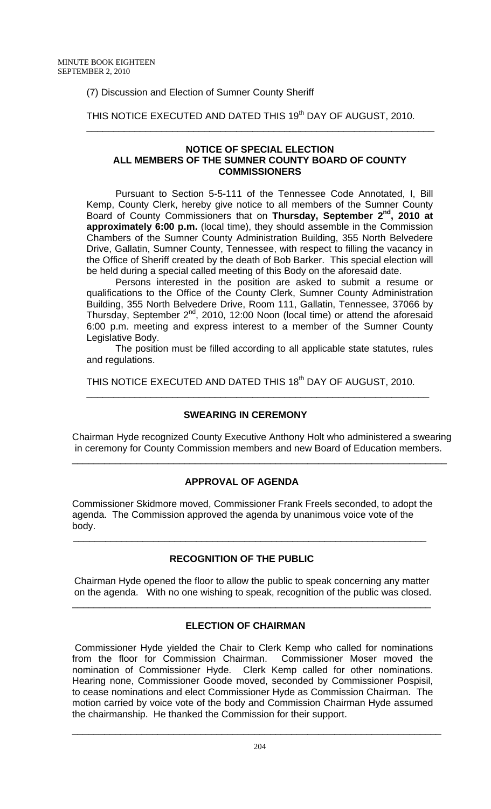## (7) Discussion and Election of Sumner County Sheriff

## THIS NOTICE EXECUTED AND DATED THIS 19<sup>th</sup> DAY OF AUGUST, 2010.

#### **NOTICE OF SPECIAL ELECTION ALL MEMBERS OF THE SUMNER COUNTY BOARD OF COUNTY COMMISSIONERS**

\_\_\_\_\_\_\_\_\_\_\_\_\_\_\_\_\_\_\_\_\_\_\_\_\_\_\_\_\_\_\_\_\_\_\_\_\_\_\_\_\_\_\_\_\_\_\_\_\_\_\_\_\_\_\_\_\_\_\_\_\_\_\_\_\_

 Pursuant to Section 5-5-111 of the Tennessee Code Annotated, I, Bill Kemp, County Clerk, hereby give notice to all members of the Sumner County Board of County Commissioners that on **Thursday, September 2nd, 2010 at approximately 6:00 p.m.** (local time), they should assemble in the Commission Chambers of the Sumner County Administration Building, 355 North Belvedere Drive, Gallatin, Sumner County, Tennessee, with respect to filling the vacancy in the Office of Sheriff created by the death of Bob Barker. This special election will be held during a special called meeting of this Body on the aforesaid date.

Persons interested in the position are asked to submit a resume or qualifications to the Office of the County Clerk, Sumner County Administration Building, 355 North Belvedere Drive, Room 111, Gallatin, Tennessee, 37066 by Thursday, September  $2^{nd}$ , 2010, 12:00 Noon (local time) or attend the aforesaid 6:00 p.m. meeting and express interest to a member of the Sumner County Legislative Body.

 The position must be filled according to all applicable state statutes, rules and regulations.

THIS NOTICE EXECUTED AND DATED THIS 18<sup>th</sup> DAY OF AUGUST, 2010.

\_\_\_\_\_\_\_\_\_\_\_\_\_\_\_\_\_\_\_\_\_\_\_\_\_\_\_\_\_\_\_\_\_\_\_\_\_\_\_\_\_\_\_\_\_\_\_\_\_\_\_\_\_\_\_\_\_\_\_\_\_\_\_\_

#### **SWEARING IN CEREMONY**

Chairman Hyde recognized County Executive Anthony Holt who administered a swearing in ceremony for County Commission members and new Board of Education members.

\_\_\_\_\_\_\_\_\_\_\_\_\_\_\_\_\_\_\_\_\_\_\_\_\_\_\_\_\_\_\_\_\_\_\_\_\_\_\_\_\_\_\_\_\_\_\_\_\_\_\_\_\_\_\_\_\_\_\_\_\_\_\_\_\_\_\_\_\_\_

## **APPROVAL OF AGENDA**

Commissioner Skidmore moved, Commissioner Frank Freels seconded, to adopt the agenda. The Commission approved the agenda by unanimous voice vote of the body.

## **RECOGNITION OF THE PUBLIC**

 $\frac{1}{\sqrt{2}}$  ,  $\frac{1}{\sqrt{2}}$  ,  $\frac{1}{\sqrt{2}}$  ,  $\frac{1}{\sqrt{2}}$  ,  $\frac{1}{\sqrt{2}}$  ,  $\frac{1}{\sqrt{2}}$  ,  $\frac{1}{\sqrt{2}}$  ,  $\frac{1}{\sqrt{2}}$  ,  $\frac{1}{\sqrt{2}}$  ,  $\frac{1}{\sqrt{2}}$  ,  $\frac{1}{\sqrt{2}}$  ,  $\frac{1}{\sqrt{2}}$  ,  $\frac{1}{\sqrt{2}}$  ,  $\frac{1}{\sqrt{2}}$  ,  $\frac{1}{\sqrt{2}}$ 

 Chairman Hyde opened the floor to allow the public to speak concerning any matter on the agenda. With no one wishing to speak, recognition of the public was closed.

\_\_\_\_\_\_\_\_\_\_\_\_\_\_\_\_\_\_\_\_\_\_\_\_\_\_\_\_\_\_\_\_\_\_\_\_\_\_\_\_\_\_\_\_\_\_\_\_\_\_\_\_\_\_\_\_\_\_\_\_\_\_\_\_\_\_\_

## **ELECTION OF CHAIRMAN**

 Commissioner Hyde yielded the Chair to Clerk Kemp who called for nominations from the floor for Commission Chairman. Commissioner Moser moved the nomination of Commissioner Hyde. Clerk Kemp called for other nominations. Hearing none, Commissioner Goode moved, seconded by Commissioner Pospisil, to cease nominations and elect Commissioner Hyde as Commission Chairman. The motion carried by voice vote of the body and Commission Chairman Hyde assumed the chairmanship. He thanked the Commission for their support.

\_\_\_\_\_\_\_\_\_\_\_\_\_\_\_\_\_\_\_\_\_\_\_\_\_\_\_\_\_\_\_\_\_\_\_\_\_\_\_\_\_\_\_\_\_\_\_\_\_\_\_\_\_\_\_\_\_\_\_\_\_\_\_\_\_\_\_\_\_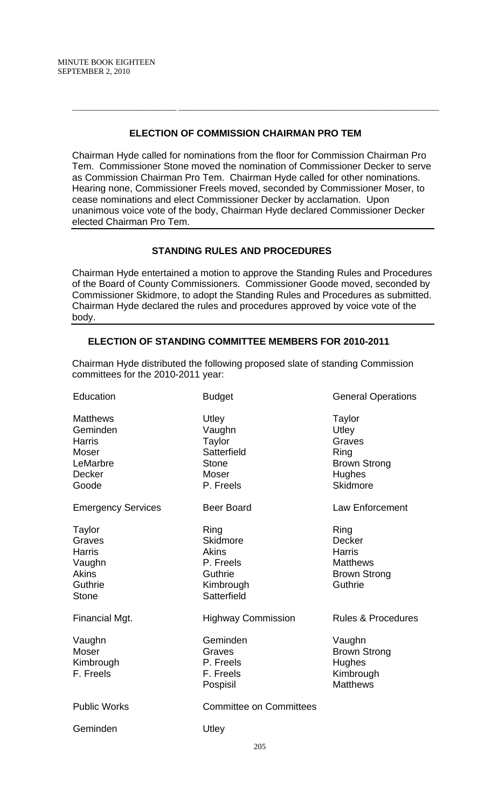#### **ELECTION OF COMMISSION CHAIRMAN PRO TEM**

 $\overline{a_1}$  ,  $\overline{a_2}$  ,  $\overline{a_3}$  ,  $\overline{a_4}$  ,  $\overline{a_5}$  ,  $\overline{a_6}$  ,  $\overline{a_7}$  ,  $\overline{a_8}$  ,  $\overline{a_9}$  ,  $\overline{a_9}$  ,  $\overline{a_9}$  ,  $\overline{a_9}$  ,  $\overline{a_9}$  ,  $\overline{a_9}$  ,  $\overline{a_9}$  ,  $\overline{a_9}$  ,  $\overline{a_9}$  ,

Chairman Hyde called for nominations from the floor for Commission Chairman Pro Tem. Commissioner Stone moved the nomination of Commissioner Decker to serve as Commission Chairman Pro Tem. Chairman Hyde called for other nominations. Hearing none, Commissioner Freels moved, seconded by Commissioner Moser, to cease nominations and elect Commissioner Decker by acclamation. Upon unanimous voice vote of the body, Chairman Hyde declared Commissioner Decker elected Chairman Pro Tem.

## **STANDING RULES AND PROCEDURES**

Chairman Hyde entertained a motion to approve the Standing Rules and Procedures of the Board of County Commissioners. Commissioner Goode moved, seconded by Commissioner Skidmore, to adopt the Standing Rules and Procedures as submitted. Chairman Hyde declared the rules and procedures approved by voice vote of the body.

## **ELECTION OF STANDING COMMITTEE MEMBERS FOR 2010-2011**

Chairman Hyde distributed the following proposed slate of standing Commission committees for the 2010-2011 year:

| Education                                                                                          | <b>Budget</b>                                                                         | <b>General Operations</b>                                                                    |
|----------------------------------------------------------------------------------------------------|---------------------------------------------------------------------------------------|----------------------------------------------------------------------------------------------|
| <b>Matthews</b><br>Geminden<br><b>Harris</b><br><b>Moser</b><br>LeMarbre<br><b>Decker</b><br>Goode | Utley<br>Vaughn<br><b>Taylor</b><br>Satterfield<br><b>Stone</b><br>Moser<br>P. Freels | Taylor<br>Utley<br>Graves<br>Ring<br><b>Brown Strong</b><br><b>Hughes</b><br><b>Skidmore</b> |
| <b>Emergency Services</b>                                                                          | <b>Beer Board</b>                                                                     | <b>Law Enforcement</b>                                                                       |
| Taylor<br>Graves<br><b>Harris</b><br>Vaughn<br><b>Akins</b><br>Guthrie<br><b>Stone</b>             | Ring<br>Skidmore<br><b>Akins</b><br>P. Freels<br>Guthrie<br>Kimbrough<br>Satterfield  | Ring<br><b>Decker</b><br>Harris<br><b>Matthews</b><br><b>Brown Strong</b><br>Guthrie         |
| Financial Mgt.                                                                                     | <b>Highway Commission</b>                                                             | <b>Rules &amp; Procedures</b>                                                                |
| Vaughn<br><b>Moser</b><br>Kimbrough<br>F. Freels                                                   | Geminden<br>Graves<br>P. Freels<br>F. Freels<br>Pospisil                              | Vaughn<br><b>Brown Strong</b><br>Hughes<br>Kimbrough<br><b>Matthews</b>                      |
| <b>Public Works</b>                                                                                | <b>Committee on Committees</b>                                                        |                                                                                              |
| Geminden                                                                                           | Utley                                                                                 |                                                                                              |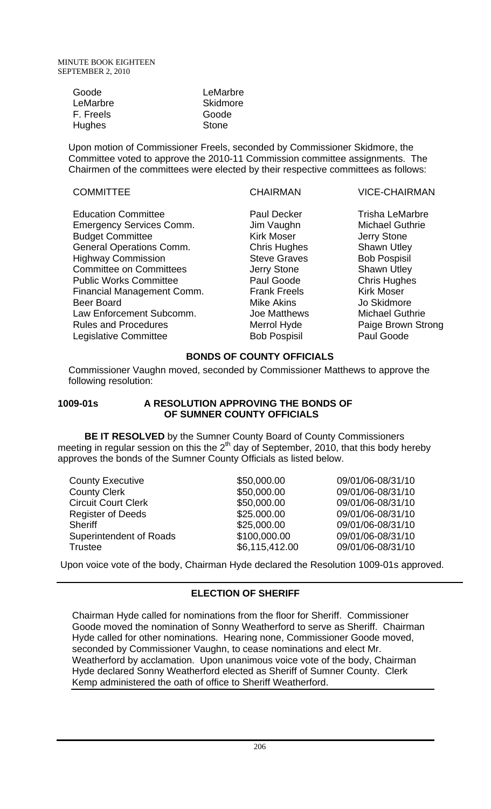| Goode         | LeMarbre     |
|---------------|--------------|
| LeMarbre      | Skidmore     |
| F. Freels     | Goode        |
| <b>Hughes</b> | <b>Stone</b> |

Upon motion of Commissioner Freels, seconded by Commissioner Skidmore, the Committee voted to approve the 2010-11 Commission committee assignments. The Chairmen of the committees were elected by their respective committees as follows:

COMMITTEE CHAIRMAN VICE-CHAIRMAN

Kirk Moser **Gommittee Committee Committee Kirk Moser** Chris Hughes Shawn Utley Steve Graves Bob Pospisil Jerry Stone Shawn Utley Paul Goode Chris Hughes Frank Freels Kirk Moser Mike Akins **Jo Skidmore** Bob Pospisil Paul Goode

Paul Decker Trisha LeMarbre Jim Vaughn Michael Guthrie Joe Matthews Michael Guthrie Merrol Hyde Paige Brown Strong

# **BONDS OF COUNTY OFFICIALS**

Commissioner Vaughn moved, seconded by Commissioner Matthews to approve the following resolution:

## **1009-01s A RESOLUTION APPROVING THE BONDS OF OF SUMNER COUNTY OFFICIALS**

 **BE IT RESOLVED** by the Sumner County Board of County Commissioners meeting in regular session on this the  $2<sup>th</sup>$  day of September, 2010, that this body hereby approves the bonds of the Sumner County Officials as listed below.

| <b>County Executive</b>        | \$50,000.00    | 09/01/06-08/31/10 |
|--------------------------------|----------------|-------------------|
| <b>County Clerk</b>            | \$50,000.00    | 09/01/06-08/31/10 |
| <b>Circuit Court Clerk</b>     | \$50,000.00    | 09/01/06-08/31/10 |
| <b>Register of Deeds</b>       | \$25.000.00    | 09/01/06-08/31/10 |
| <b>Sheriff</b>                 | \$25,000.00    | 09/01/06-08/31/10 |
| <b>Superintendent of Roads</b> | \$100,000.00   | 09/01/06-08/31/10 |
| <b>Trustee</b>                 | \$6,115,412.00 | 09/01/06-08/31/10 |

Upon voice vote of the body, Chairman Hyde declared the Resolution 1009-01s approved.

# **ELECTION OF SHERIFF**

Chairman Hyde called for nominations from the floor for Sheriff. Commissioner Goode moved the nomination of Sonny Weatherford to serve as Sheriff. Chairman Hyde called for other nominations. Hearing none, Commissioner Goode moved, seconded by Commissioner Vaughn, to cease nominations and elect Mr. Weatherford by acclamation. Upon unanimous voice vote of the body, Chairman Hyde declared Sonny Weatherford elected as Sheriff of Sumner County. Clerk Kemp administered the oath of office to Sheriff Weatherford.